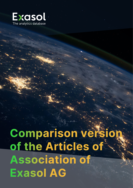

**Comparison version<br>
of the Articles of<br>
Association of<br>
Exasol AG**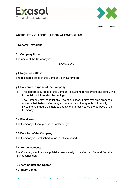



# **ARTICLES OF ASSOCIATION of EXASOL AG**

# **I. General Provisions**

# **§ 1 Company Name**

The name of the Company is:

EXASOL AG

# **§ 2 Registered Office**

The registered office of the Company is in Nuremberg.

# **§ 3 Corporate Purpose of the Company**

- (1) The corporate purpose of the Company is system development and consulting in the field of information technology.
- (2) The Company may conduct any type of business, it may establish branches and/or subsidiaries in Germany and abroad, and it may enter into equity investments that are suitable to directly or indirectly serve the purpose of the Company.

# **§ 4 Fiscal Year**

The Company's fiscal year is the calendar year.

# **§ 5 Duration of the Company**

The Company is established for an indefinite period.

# **§ 6 Announcements**

The Company's notices are published exclusively in the German Federal Gazette (Bundesanzeiger).

# **II. Share Capital and Shares**

# **§ 7 Share Capital**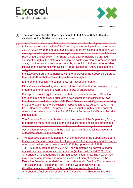



- (1) The share capital of the Company amounts to EUR 24,438,870.00 and is divided into 24,438,870 no-par value shares.
- (2) The Executive Board is authorized, with the approval of the Supervisory Board, to increase the share capital of the Company one or multiple times on or before July 21, 2025 by up to a total of EUR 8,887,935.00 by issuing up to 8,887,935 new registered no-par value shares against cash and/or non-cash contributions (Authorized Capital 2020). The Shareholders shall principally be granted subscription rights; the statutory subscription rights may also be granted in such a way that the new shares are assumed by a credit institution or an equivalent institution in accordance with Section 186 (5) Sentence 1 AktG subject to the obligation to offer subscriptions to the Shareholders of the Company. However, the Executive Board is authorized, with the approval of the Supervisory Board, to preclude Shareholders' statutory subscription rights,

to the extent necessary to compensate for fractional amounts;

if the shares are issued against contributions in kind for the purpose of acquiring enterprises or interests in enterprises or parts of enterprises;

if a capital increase against cash contributions does not exceed 10% of the share capital and the issue price of the new shares is not significantly lower than the stock market price (Art. 186 Par. 3 Sentence 4 AktG); when exercising this authorization for the preclusion of subscription rights pursuant to Art. 186 Par. 3 Sentence 4 AktG, the preclusion of subscription rights on the basis of other authorizations pursuant to Art. 186 Par. 3 Sentence 4 AktG must be taken into account.

The Executive Board is authorized, with the consent of the Supervisory Board, to determine the further details of the capital increase and its implementation. The Supervisory Board is authorized to amend the wording of the Articles of Association in accordance with the extent to which the capital increase from authorized capital is implemented.

(2) The Executive Board is authorized, with the approval of the Supervisory Board, to increase the share capital of the Company in full or in partial amounts, on one or more occasions on or before July 5, 2027 by up to a total of EUR 7,331,661.00 by issuing up to 7,331,661 new registered no-par value shares against cash and/or non-cash contributions (Authorized Capital 2022). The Shareholders must generally be granted subscription rights. The new shares may also be acquired by one or more credit institution(s) specified by the Executive Board or an undertaking in accordance with Section 53 (1) sentence 1 or Section 53b (1) sentence 1 or (7) of the German Banking Act (Kreditwesengesetz (KWG)), with an obligation to offer them to the Shareholders (indirect subscription right). However, the Executive Board is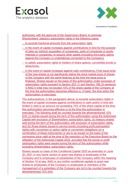



authorized, with the approval of the Supervisory Board, to preclude Shareholders' statutory subscription rights in the following cases:

- to exclude fractional amounts from the subscription right;

- in the event of capital increases against contributions in kind for the purpose of (also an indirect) acquisition of companies, parts of companies or equity interests in companies, to acquire other assets (including third party claims against the Company or undertakings connected to the Company);
- to satisfy subscription rights to holders of share options, convertible bonds or debentures;
- In the event of capital increases against cash contributions, if the issue price of the new shares is not significantly below the stock market price of shares of the Company with the same features at the time the issue price is finalized. Shares issued on the basis of this authorization under exclusion of subscription rights pursuant to Section 203 (1) and Section 186 (3) sentence 4 AktG in total may not exceed 10% of the share capital of the Company at the time the authorization becomes effective or, if lower, the time when this authorization is exercised.

The authorizations, in the paragraphs above, to exclude subscription rights in the event of capital increases against contributions in cash and/or in kind are limited in total to an amount not exceeding 10% of the share capital at the time this authorization becomes effective or at the time this authorization is exercised. The following shall be counted towards the aforementioned 10% limit: (i) shares issued during the term of this authorization using the Authorized Capital with exclusion of Shareholders' subscription rights, (ii) treasury shares sold during the term of this authorization with exclusion of subscription rights, and (iii) those shares issued to service bonds (including profit participation rights) with conversion or option rights or conversion obligations (or a combination of these instruments) or are to be issued on the basis of the conversion price valid at the time of the resolution of the Executive Board on the utilization of the Authorized Capital 2022, provided that the bonds or profit participation rights were issued during the term of this authorization while excluding Shareholders' subscription rights.

Shares issued on basis of the Conditional Capital 2020 as amended on June 30, 2021 or any future version to grant new shares to employees of the Company and to employees of subsidiaries of the Company within the meaning of Section 15 et seq. AktG or any further conditional capitals to grant new shares to employees of the Company or employees or members of the management of a subsidiary of the Company are not to be counted towards the aforementioned 10% limit.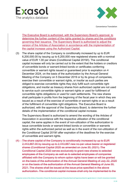



The Executive Board is authorized, with the Supervisory Board's approval, to determine the further content of the rights granted by shares and the conditions governing their issuance. The Supervisory Board is authorized to adjust the version of the Articles of Association in accordance with the implementation of the capital increase using the Authorized Capital.

(3) The share capital of the Company is conditionally increased by up to EUR 6,200,000.00 by issuing up to 6,200,000 new registered shares with a nominal value of EUR 1.00 per share (Conditional Capital 2019/I). The conditional capital increase will only be carried out to the extent that the holders or creditors of convertible bonds or warrant-linked bonds or certificates conferring convertible or warrant rights issued or guaranteed prior to expiration on 4 December 2024, on the basis of the authorization by the Annual General Meeting of the Company on 5 December 2019 or by its group of companies, exercise their convertible or warrant rights, or insofar as such parties are obliged to exercise convertible rights they duly fulfill such convertible right obligations, and insofar as treasury shares from authorized capital are not used to service such convertible rights or warrant rights or used for fulfillment of convertible rights obligations or used for cash settlements. The new shares shall participate in profits from the beginning of the fiscal year in which they are issued as a result of the exercise of convertible or warrant rights or as a result of the fulfillment of convertible right obligations. The Executive Board is authorized, with the approval of the Supervisory Board, to determine the further details of the implementation of the conditional capital increase.

The Supervisory Board is authorized to amend the wording of the Articles of Association in accordance with the respective utilization of the conditional capital; the same applies in the event of non-utilization of the authorization to issue convertible bonds or warrant-linked bonds or convertible or warrants rights within the authorized period as well as in the event of the non-utilization of the Conditional Capital 2019/I after expiration of the deadlines for the exercise of convertible and warrant rights.

(4) The share capital of the Company is conditionally increased by up to EUR 2,443,887.00 by issuing up to 2,443,887 new no-par value bearer or registered shares (Conditional Capital 2020 as amended on June 30, 2021). The Conditional Capital 2020 serves exclusively to grant new shares to selected employees of the Company as well as to selected employees of companies affiliated with the Company to whom option rights have been or will be granted on the basis of the authorization of the Annual General Meeting of July 22, 2020 or on the basis of the authorization of the Annual General Meeting of June 30, 2021. The shares shall be issued at the issue price specified in the above authorization. The conditional capital increase shall only be implemented to the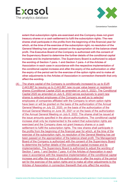



extent that subscription rights are exercised and the Company does not grant treasury shares or a cash settlement to fulfil the subscription rights. The new shares shall participate in the profits from the beginning of the financial year for which, at the time of the exercise of the subscription right, no resolution of the General Meeting has yet been passed on the appropriation of the balance sheet profit. The Executive Board of the Company is authorized with the consent of the Supervisory Board to determine the further details of the conditional capital increase and its implementation. The Supervisory Board is authorized to adjust the wording of Section 7 para. 1 and Section 7 para. 4 of the Articles of Association in each case in accordance with the respective implementation of the conditional capital increase and after the expiry of the authorization or after the expiry of the period set for the exercise of the option rights and to make all other adjustments to the Articles of Association in connection therewith that only affect the wording.

(4) The share capital of the Company is conditionally increased by up to EUR 2,443,887 by issuing up to 2,443,887 new no-par value bearer or registered shares (Conditional Capital 2020 as amended on July 6, 2022). The Conditional Capital 2020 as amended on July 6, 2022 serves exclusively to grant new shares to selected employees of the Company as well as to selected employees of companies affiliated with the Company to whom option rights have been or will be granted on the basis of the authorization of the Annual General Meeting on July 22, 2020, on the basis of the authorization of the Annual General Meeting on June 30, 2021 or on the basis of the authorization of the Annual General Meeting on July 6, 2022. The shares shall be issued at the issue amounts specified in the above authorizations. The conditional capital increase shall only be implemented to the extent that subscription rights are exercised and the Company does not grant treasury shares or a cash settlement to fulfill the subscription rights. The new shares shall participate in the profits from the beginning of the financial year for which, at the time of the exercise of the subscription right, no resolution of the General Meeting has yet been passed on the appropriation of the balance sheet profit. The Management Board of the Company is authorized with the consent of the Supervisory Board to determine the further details of the conditional capital increase and its implementation. The Supervisory Board is authorized to adjust the wording of Section 7 para. 1 and Section 7 para. 4 of the Articles of Association in each case in accordance with the respective implementation of the conditional capital increase and after the expiry of the authorization or after the expiry of the period set for the exercise of the option rights and to make all other adjustments to the Articles of Association in connection therewith that only affect the wording.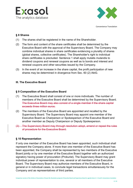



### **§ 8 Shares**

- (1) The shares shall be registered in the name of the Shareholder.
- (2) The form and content of the share certificates shall be determined by the Executive Board with the approval of the Supervisory Board. The Company may combine individual shares in share certificates evidencing a plurality of shares (global shares, collective certificates). The Shareholder's right to individual share certificates is precluded. Sentence 1 shall apply mutatis mutandis to dividend coupons and renewal coupons as well as to bonds and interest and renewal coupons and other securities issued by the Company.
- (3) In the event of an increase in the share capital, the profit participation of new shares may be determined in divergence from Sec. 60 (2) AktG.

#### **III. The Executive Board**

#### **§ 9 Composition of the Executive Board**

- (1) The Executive Board shall consist of one or more individuals. The number of members of the Executive Board shall be determined by the Supervisory Board. The Executive Board may also consist of a single member if the share capital exceeds three million euros.
- (2) The members of the Executive Board are appointed and recalled by the Supervisory Board. The Supervisory Board may appoint one member of the Executive Board as Chairperson or Spokesperson of the Executive Board and another member as Deputy Chairperson or Deputy Spokesperson.
- (3) The Supervisory Board may through resolution adopt, amend or repeal the rules of procedure for the Executive Board.

# **§ 10 Representation**

If only one member of the Executive Board has been appointed, such individual shall represent the Company alone. If more than one member of the Executive Board has been appointed, the Company shall be represented by two members of the Executive Board jointly or by one member of the Executive Board together with an authorized signatory having power of procuration (Prokurist). The Supervisory Board may grant individual power of representation to one, several or all members of the Executive Board. The Supervisory Board may authorize members of the Executive Board, in general or in individual cases, to conclude legal transactions simultaneously for the Company and as representatives of third parties.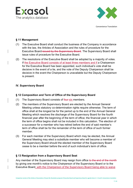



# **§ 11 Management**

- (1) The Executive Board shall conduct the business of the Company in accordance with the law, the Articles of Association and the rules of procedure for the Executive Board issued by the Supervisory Board. The Supervisory Board shall issue rules of procedure for the Executive Board.
- (2) The resolutions of the Executive Board shall be adopted by a majority of votes. If the Executive Board consists of at least three members and if a Chairperson for the Executive Board has been appointed, such individual's vote shall be decisive in the event of a tie, and the vote of the Deputy Chairperson shall be decisive in the event the Chairperson is unavailable but the Deputy Chairperson is present.

# **IV. Supervisory Board**

# **§ 12 Composition and Term of Office of the Supervisory Board**

- (1) The Supervisory Board consists of four-six members.
- (2) The members of the Supervisory Board are elected by the Annual General Meeting unless statutory co-determination rights require otherwise. The term of office shall at the longest be for the period up to the end of the Annual General Meeting which resolves the discharge of the Supervisory Board for the fourth financial year after the beginning of the term of office; the financial year in which the term of office begins shall not be included in this calculation. The election of a successor for a member who has retired before the end of said member's term of office shall be for the remainder of the term of office of such former member.
- (3) For each member of the Supervisory Board which may be elected, the Annual General Meeting may elect a substitute member who will become a member of the Supervisory Board should the elected member of the Supervisory Board cease to be a member before the end of such individual's term of office.

# **§ 13 Resignation from a Supervisory Board Seat**

Any member of the Supervisory Board may resign from office to the end of the month by giving one month's notice to the Chairperson of the Supervisory Board or to the Executive Board, with the Chairperson of the Supervisory Board being able to waive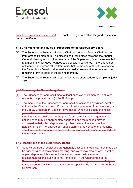



compliance with this notice period. The right to resign from office for good cause shall remain unaffected.

#### **§ 14 Chairmanship and Rules of Procedure of the Supervisory Board**

- (1) The Supervisory Board shall elect a Chairperson and a Deputy Chairperson from among its members. The election shall take place following the Annual General Meeting in which the members of the Supervisory Board were elected, at a meeting which does not need to be specially convened. If the Chairperson or Deputy Chairperson retires from office before the end of their term of office, the Supervisory Board shall immediately hold a new election as concerns the remaining term of office of the retiring member.
- (2) The Supervisory Board shall adopt its own rules of procedure by simple majority vote.

#### **§ 15 Convening the Supervisory Board**

- (1) The Supervisory Board shall meet at least once every six months. In all other respects, the provisions of § 110 AktG apply.
- (2) The meetings of the Supervisory Board shall be convened by written invitation notice by the Chairperson or, if such individual is prevented from attending, by the Deputy Chairperson, upon 14 days' notice. When calculating the notice period, the day on which the invitation notice is dispatched and the day the meeting is to be held shall not be part of such calculation. In urgent cases, the notice period may be appropriately shortened and the meeting may be convened verbally, by telephone or by other means of telecommunication (telefax, e-mail). The Chairperson shall determine the venue of the meeting. The items on the agenda and proposed resolutions shall be communicated with the invitation notice.

#### **§ 16 Resolutions of the Supervisory Board**

(1) Supervisory Board resolutions are generally passed in meetings. They may also be passed without convening a meeting, and votes may also be cast in writing or per telephone - this also includes written votes cast by means of telecommunications, such as e-mail or telefax - if the Chairperson of the Supervisory Board so orders and no member of the Supervisory Board objects to this procedure within a reasonable period specified by the Supervisory Board Chairperson.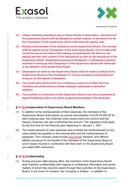



- (2) Unless otherwise required by law or these Articles of Association, resolutions of the Supervisory Board shall be adopted by simple majority. In the event of a tie, the Chairperson of the Supervisory Board shall have the casting vote.
- (3) Minutes shall be taken of the resolutions of the Supervisory Board. The minutes shall be signed by the Chairperson of the Supervisory Board. The minutes shall record the venue and date of the meeting, its participants, the items on the agenda and the main content of the discussions as well as the resolutions of the Supervisory Board. Resolutions pursuant to Paragraph (1) Sentence 2 shall be recorded in writing by the Chairperson of the Supervisory Board and forwarded to all members of the Supervisory Board.
- (4) Declarations of intent by the Supervisory Board shall be made on behalf of the Supervisory Board by the Chairperson or, if such individual is prevented from doing so, by the Deputy Chairperson.
- (5) The Supervisory Board shall only constitute a quorum if at least half of its members, but at the minimum three members, participate in resolution adoption.
- (6) The invalidity of a resolution of the Supervisory Board may only be asserted by legal proceedings within one month of gaining knowledge of the resolution.

# **§ 17 15 Compensation of Supervisory Board Members**

- (1) In addition to the reimbursement of their expenses, the members of the Supervisory Board shall receive an annual remuneration of EUR 40,000.00 for each financial year; the Chairman shall receive twice this amount and the Deputy Chairman one and a half times this amount. The regulation shall apply for the first time for the financial year beginning on January 1, 2021.
- (2) The reimbursement of cash expenses also includes the reimbursement of any value-added tax payable on the remuneration and the reimbursement of expenses. The Company shall provide appropriate directors' and officers' liability insurance for the benefit of the members of the Supervisory Board to cover losses incurred in connection with their work on the Supervisory Board (so-called D&O Insurance).

# **§ 18 16 Confidentiality**

(1) During and even after leaving office, the members of the Supervisory Board shall maintain confidentiality with regards to confidential information and secret matters of which they become aware through their activities on the Supervisory Board. In the event of a breach, the Company is entitled – in addition to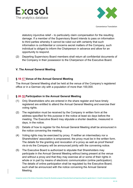



statutory injunctive relief – to particularly claim compensation for the resulting damage. If a member of the Supervisory Board intends to pass on information to third parties whereby it cannot be ruled out with certainty that such information is confidential or concerns secret matters of the Company, such individual is obliged to inform the Chairperson in advance and allow for an opportunity to respond.

(2) Departing Supervisory Board members shall return all confidential documents of the Company in their possession to the Chairperson of the Executive Board.

#### **V. The Annual General Meeting**

#### **§ 19 17 Venue of the Annual General Meeting**

The Annual General Meeting shall be held at the venue of the Company's registered office or in a German city with a population of more than 100,000.

#### **§ 20 18 Participation in the Annual General Meeting**

- (1) Only Shareholders who are entered in the share register and have timely registered are entitled to attend the Annual General Meeting and exercise their voting rights.
- (2) The registration must be received by the Company in written form at the address specified for this purpose in the notice at least six days before the meeting. The Executive Board may stipulate a shorter deadline, measured in days, in the notice.
- (3) Details of how to register for the Annual General Meeting shall be announced in the notice convening the meeting.
- (4) Voting rights may be exercised by proxy. If neither an intermediary nor a Shareholders' association is empowered, the proxy must be in the written form. The details for the granting and revocation of a proxy as well as proof thereof vis-à-vis the Company will be announced jointly with the convening notice.
- (5) The Executive Board is authorized to stipulate that Shareholders may participate in the Annual General Meeting without being present at the venue and without a proxy and that they may exercise all or some of their rights in whole or in part by means of electronic communication (online participation). The details of online participation shall be regulated by the Executive Board; such shall be announced with the notice convening the Annual General Meeting.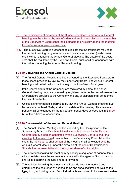



- (6) The participation of members of the Supervisory Board in the Annual General Meeting may be effected by way of video and audio transmission if the member of the Supervisory Board concerned is unable to physically attend the meeting for professional or personal reasons.
- $\left(\frac{6}{7}\right)$  The Executive Board is authorized to stipulate that Shareholders may cast their votes in writing or by means of electronic communication (postal vote) even without attending the Annual General Meeting. The details of the postal vote shall be regulated by the Executive Board; such shall be announced with the notice convening the Annual General Meeting.

#### **§ 21 19 Convening the Annual General Meeting**

- (1) The Annual General Meeting shall be convened by the Executive Board or, in those cases provided by law, by the Supervisory Board. The Annual General Meeting shall be held within the first eight months of each fiscal year.
- (2) If the Shareholders of the Company are registered by name, the Annual General Meeting may be convened by registered letter to the last addresses the Shareholders provided to the Company; the day of dispatch shall be deemed the day of notification.
- (3) Unless a shorter period is permitted by law, the Annual General Meeting must be convened at least 30 days prior to the date of the meeting. This minimum period shall be extended by the registration period days as specified in § 1820 (2) of the Articles of Association.

# **§ 22 20 Chairmanship of the Annual General Meeting**

- (1) The Annual General Meeting shall be chaired by the Chairperson of the Supervisory Board or if such individual is unable to do so, by the Deputy Chairperson by a person appointed by the Supervisory Board to chair the meeting. In the event that If no member of the Supervisory Board takes the chair, the individual to chairperson of the meeting shall be elected byat the Annual General Meeting under the direction of the senior-Shareholder or Shareholder representative with the highest share of voting rights.
- (2) The individual chairing the meeting may specify a sequence of agenda items which deviates from the sequence announced in the agenda. Such individual shall also determine the type and form of voting.
- (3) The individual chairing the meeting shall preside over the meeting and determines the sequence of agenda items and speaking times as well as the type, form, and voting order. Such individual is authorized to impose reasonable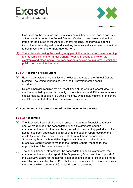



time limits on the question and speaking time of Shareholders, and in particular, at the outset or during the Annual General Meeting, to set a reasonable time frame for the course of the Annual General Meeting, the individual agenda items, the individual question and speaking times as well as to determine a time to begin voting on one or more agenda items.

(4) The individual chairing the meeting may permit the partial or complete recording and transmission of the Annual General Meeting in sound and vision via electronic and other media. The transmission may also be in a form to which the public has unrestricted access.

#### **§ 23 21 Adoption of Resolutions**

- (1) Each no-par value share entitles the holder to one vote at the Annual General Meeting. The voting right begins upon the full payment of the capital contribution.
- (2) Unless otherwise required by law, resolutions of the Annual General Meeting shall be adopted by a simple majority of the votes cast and, if the law requires a capital majority in addition to a voting majority, by a simple majority of the share capital represented at the time the resolution is adopted.

#### **VI. Accounting and Appropriation of the Net Income for the Year**

# **§ 24 22 Accounting**

- (1) The Executive Board shall annually prepare the annual financial statements and, where required, the consolidated financial statements and the management report for the past fiscal year within the statutory period and, if an auditor has been appointed, submit such to the auditor. Upon receipt of the auditor''s report, the Executive Board shall submit these documents to the Supervisory Board without delay, together with the proposal which the Executive Board intends to make to the Annual General Meeting for the appropriation of the balance sheet profit.
- (2) The annual financial statements, the consolidated financial statements, the management reports, the report of the Supervisory Board and the proposal of the Executive Board for the appropriation of balance sheet profit shall be made available for inspection by the Shareholders at the offices of the Company from the date on which the Annual General Meeting is convened.